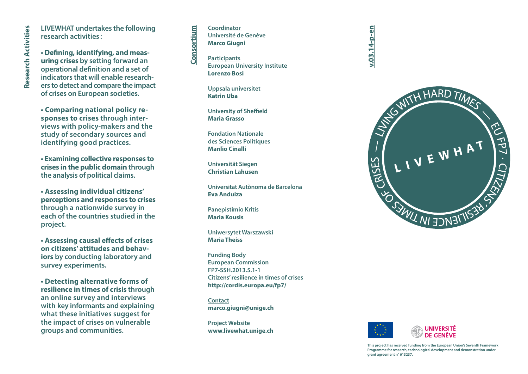**LIVEWHAT undertakes the following research activities :**

**• Deining, identifying, and meas uring crises by setting forward an operational deinition and a set of indicators that will enable research ers to detect and compare the impact of crises on European societies.**

**• Comparing national policy re sponses to crises through inter views with policy-makers and the study of secondary sources and identifying good practices.**

**• Examining collective responses to crises in the public domain through the analysis of political claims.**

**• Assessing individual citizens' perceptions and responses to crises through a nationwide survey in each of the countries studied in the project.**

**• Assessing causal efects of crises on citizens' attitudes and behaviors by conducting laboratory and survey experiments.** 

**• Detecting alternative forms of resilience in times of crisis through an online survey and interviews with key informants and explaining what these initiatives suggest for the impact of crises on vulnerable groups and communities.**

**Coordinator Université de Genève Marco Giugni Consortium**

**Participants European University Institute Lorenzo Bosi**

**Uppsala universitet Katrin Uba**

**University of Sheffield Maria Grasso**

**Fondation Nationale des Sciences Politiques Manlio Cinalli**

**Universität Siegen Christian Lahusen**

**Universitat Autònoma de Barcelona Eva Anduiza**

**Panepistimio Kritis Maria Kousis**

**Uniwersytet Warszawski Maria Theiss**

**Funding Body European Commission FP7-SSH.2013.5.1-1 Citizens' resilience in times of crises http://cordis.europa.eu/fp7/**

**Contact marco.giugni@unige.ch**

**Project Website www.livewhat.unige.ch** **v.03.14-p-en**





**This project has received funding from the European Union's Seventh Framework Programme for research, technological development and demonstration under grant agreement n° 613237.**